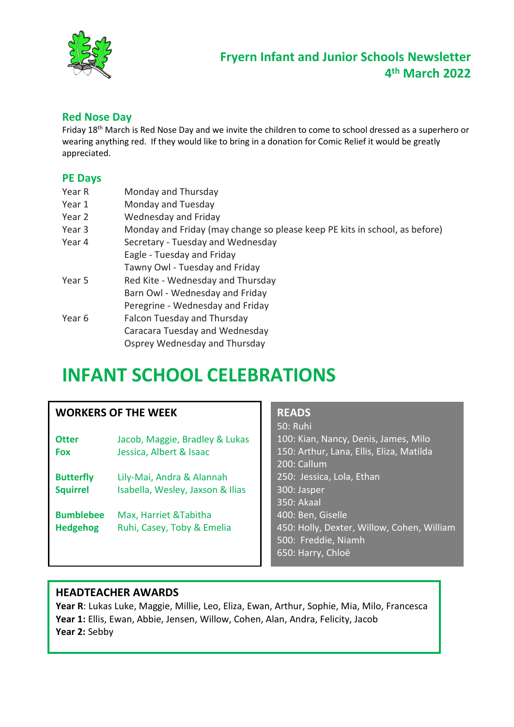

### **Red Nose Day**

Friday 18th March is Red Nose Day and we invite the children to come to school dressed as a superhero or wearing anything red. If they would like to bring in a donation for Comic Relief it would be greatly appreciated.

#### **PE Days**

| Year R | Monday and Thursday                                                        |
|--------|----------------------------------------------------------------------------|
| Year 1 | Monday and Tuesday                                                         |
| Year 2 | Wednesday and Friday                                                       |
| Year 3 | Monday and Friday (may change so please keep PE kits in school, as before) |
| Year 4 | Secretary - Tuesday and Wednesday                                          |
|        | Eagle - Tuesday and Friday                                                 |
|        | Tawny Owl - Tuesday and Friday                                             |
| Year 5 | Red Kite - Wednesday and Thursday                                          |
|        | Barn Owl - Wednesday and Friday                                            |
|        | Peregrine - Wednesday and Friday                                           |
| Year 6 | Falcon Tuesday and Thursday                                                |
|        | Caracara Tuesday and Wednesday                                             |
|        | Osprey Wednesday and Thursday                                              |

# **INFANT SCHOOL CELEBRATIONS**

|                  | <b>WORKERS OF THE WEEK</b>       | <b>READS</b>                               |
|------------------|----------------------------------|--------------------------------------------|
|                  |                                  | 50: Ruhi                                   |
| <b>Otter</b>     | Jacob, Maggie, Bradley & Lukas   | 100: Kian, Nancy, Denis, James, Milo       |
| <b>Fox</b>       | Jessica, Albert & Isaac          | 150: Arthur, Lana, Ellis, Eliza, Matilda   |
|                  |                                  | 200: Callum                                |
| <b>Butterfly</b> | Lily-Mai, Andra & Alannah        | 250: Jessica, Lola, Ethan                  |
| <b>Squirrel</b>  | Isabella, Wesley, Jaxson & Ilias | 300: Jasper                                |
|                  |                                  | 350: Akaal                                 |
| <b>Bumblebee</b> | Max, Harriet & Tabitha           | 400: Ben, Giselle                          |
| <b>Hedgehog</b>  | Ruhi, Casey, Toby & Emelia       | 450: Holly, Dexter, Willow, Cohen, William |
|                  |                                  | 500: Freddie, Niamh                        |
|                  |                                  | 650: Harry, Chloë                          |
|                  |                                  |                                            |

### **HEADTEACHER AWARDS**

**Year R**: Lukas Luke, Maggie, Millie, Leo, Eliza, Ewan, Arthur, Sophie, Mia, Milo, Francesca **Year 1:** Ellis, Ewan, Abbie, Jensen, Willow, Cohen, Alan, Andra, Felicity, Jacob **Year 2:** Sebby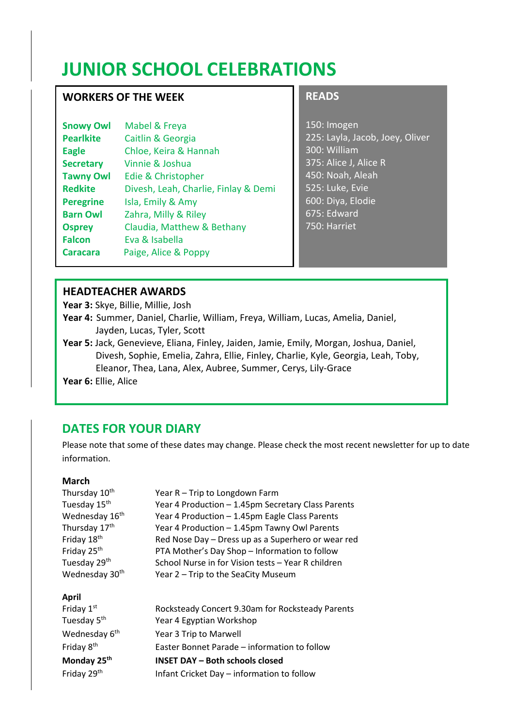# **JUNIOR SCHOOL CELEBRATIONS**

### **WORKERS OF THE WEEK**

| <b>Snowy Owl</b> | Mabel & Freya                        |
|------------------|--------------------------------------|
| <b>Pearlkite</b> | Caitlin & Georgia                    |
| <b>Eagle</b>     | Chloe, Keira & Hannah                |
| <b>Secretary</b> | Vinnie & Joshua                      |
| <b>Tawny Owl</b> | <b>Edie &amp; Christopher</b>        |
| <b>Redkite</b>   | Divesh, Leah, Charlie, Finlay & Demi |
| <b>Peregrine</b> | Isla, Emily & Amy                    |
| <b>Barn Owl</b>  | Zahra, Milly & Riley                 |
| <b>Osprey</b>    | Claudia, Matthew & Bethany           |
| <b>Falcon</b>    | Eva & Isabella                       |
| Caracara         | Paige, Alice & Poppy                 |

#### **READS**

150: Imogen 225: Layla, Jacob, Joey, Oliver 300: William 375: Alice J, Alice R 450: Noah, Aleah 525: Luke, Evie 600: Diya, Elodie 675: Edward 750: Harriet

#### **HEADTEACHER AWARDS**

**Year 3:** Skye, Billie, Millie, Josh

- **Year 4:** Summer, Daniel, Charlie, William, Freya, William, Lucas, Amelia, Daniel, Jayden, Lucas, Tyler, Scott
- **Year 5:** Jack, Genevieve, Eliana, Finley, Jaiden, Jamie, Emily, Morgan, Joshua, Daniel, Divesh, Sophie, Emelia, Zahra, Ellie, Finley, Charlie, Kyle, Georgia, Leah, Toby, Eleanor, Thea, Lana, Alex, Aubree, Summer, Cerys, Lily-Grace

**Year 6:** Ellie, Alice

## **DATES FOR YOUR DIARY**

Please note that some of these dates may change. Please check the most recent newsletter for up to date information.

#### **March**

| Thursday 10 <sup>th</sup>  | Year R - Trip to Longdown Farm                     |
|----------------------------|----------------------------------------------------|
| Tuesday 15th               | Year 4 Production - 1.45pm Secretary Class Parents |
| Wednesday 16 <sup>th</sup> | Year 4 Production - 1.45pm Eagle Class Parents     |
| Thursday 17th              | Year 4 Production - 1.45pm Tawny Owl Parents       |
| Friday 18th                | Red Nose Day - Dress up as a Superhero or wear red |
| Friday 25 <sup>th</sup>    | PTA Mother's Day Shop - Information to follow      |
| Tuesday 29th               | School Nurse in for Vision tests - Year R children |
| Wednesday 30 <sup>th</sup> | Year 2 – Trip to the SeaCity Museum                |
|                            |                                                    |
| <b>April</b>               |                                                    |
|                            |                                                    |
| Friday $1st$               | Rocksteady Concert 9.30am for Rocksteady Parents   |
| Tuesday 5 <sup>th</sup>    | Year 4 Egyptian Workshop                           |
| Wednesday 6 <sup>th</sup>  | Year 3 Trip to Marwell                             |
| Friday 8 <sup>th</sup>     | Easter Bonnet Parade - information to follow       |
| Monday 25th                | INSET DAY - Both schools closed                    |
| Friday 29th                | Infant Cricket Day - information to follow         |